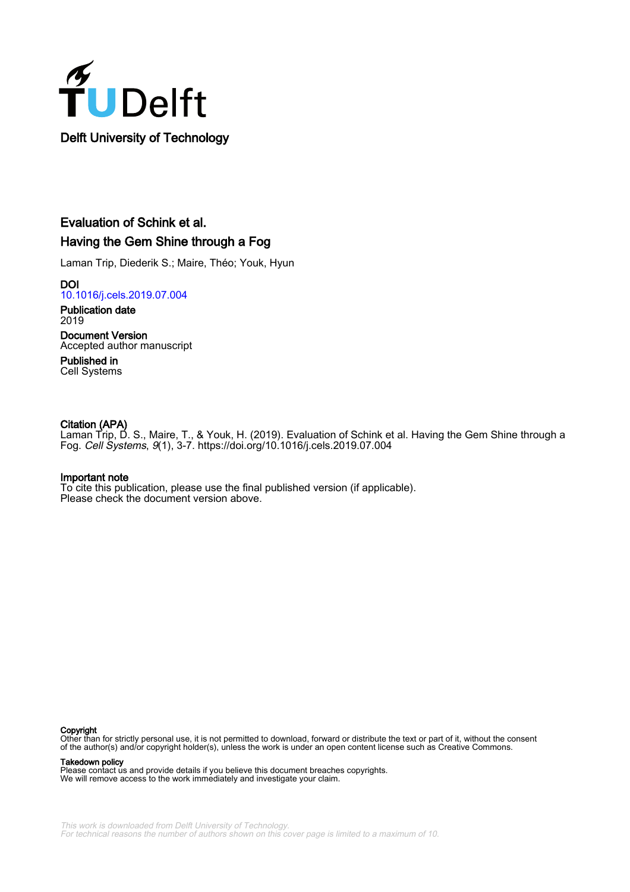

# Evaluation of Schink et al. Having the Gem Shine through a Fog

Laman Trip, Diederik S.; Maire, Théo; Youk, Hyun

**DOI** [10.1016/j.cels.2019.07.004](https://doi.org/10.1016/j.cels.2019.07.004)

Publication date 2019

Document Version Accepted author manuscript

Published in Cell Systems

#### Citation (APA)

Laman Trip, D. S., Maire, T., & Youk, H. (2019). Evaluation of Schink et al. Having the Gem Shine through a Fog. Cell Systems, 9(1), 3-7. <https://doi.org/10.1016/j.cels.2019.07.004>

#### Important note

To cite this publication, please use the final published version (if applicable). Please check the document version above.

#### Copyright

Other than for strictly personal use, it is not permitted to download, forward or distribute the text or part of it, without the consent of the author(s) and/or copyright holder(s), unless the work is under an open content license such as Creative Commons.

Takedown policy

Please contact us and provide details if you believe this document breaches copyrights. We will remove access to the work immediately and investigate your claim.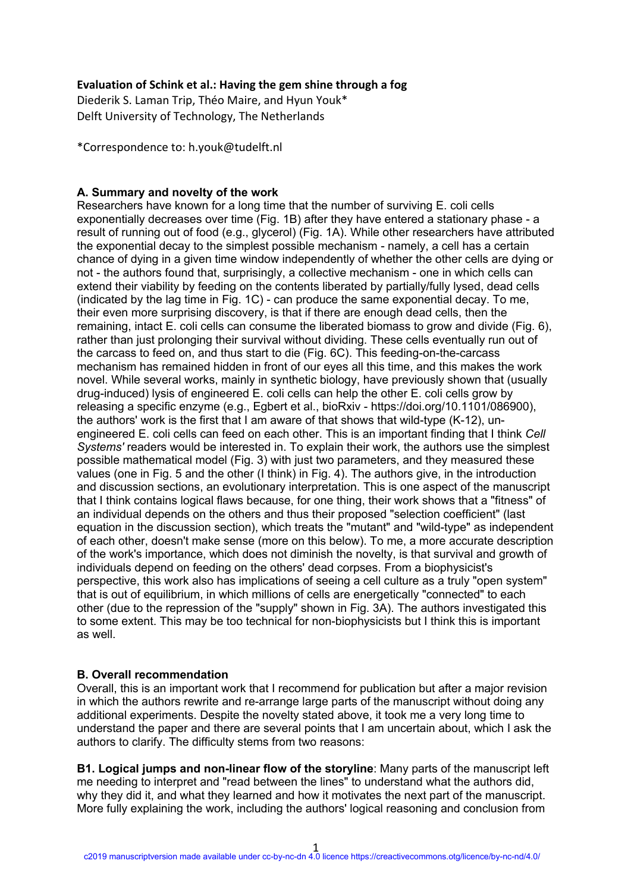#### **Evaluation of Schink et al.: Having the gem shine through a fog**

Diederik S. Laman Trip, Théo Maire, and Hyun Youk\* Delft University of Technology, The Netherlands

\*Correspondence to: h.youk@tudelft.nl

#### **A. Summary and novelty of the work**

Researchers have known for a long time that the number of surviving E. coli cells exponentially decreases over time (Fig. 1B) after they have entered a stationary phase - a result of running out of food (e.g., glycerol) (Fig. 1A). While other researchers have attributed the exponential decay to the simplest possible mechanism - namely, a cell has a certain chance of dying in a given time window independently of whether the other cells are dying or not - the authors found that, surprisingly, a collective mechanism - one in which cells can extend their viability by feeding on the contents liberated by partially/fully lysed, dead cells (indicated by the lag time in Fig. 1C) - can produce the same exponential decay. To me, their even more surprising discovery, is that if there are enough dead cells, then the remaining, intact E. coli cells can consume the liberated biomass to grow and divide (Fig. 6), rather than just prolonging their survival without dividing. These cells eventually run out of the carcass to feed on, and thus start to die (Fig. 6C). This feeding-on-the-carcass mechanism has remained hidden in front of our eyes all this time, and this makes the work novel. While several works, mainly in synthetic biology, have previously shown that (usually drug-induced) lysis of engineered E. coli cells can help the other E. coli cells grow by releasing a specific enzyme (e.g., Egbert et al., bioRxiv - https://doi.org/10.1101/086900), the authors' work is the first that I am aware of that shows that wild-type (K-12), unengineered E. coli cells can feed on each other. This is an important finding that I think *Cell Systems'* readers would be interested in. To explain their work, the authors use the simplest possible mathematical model (Fig. 3) with just two parameters, and they measured these values (one in Fig. 5 and the other (I think) in Fig. 4). The authors give, in the introduction and discussion sections, an evolutionary interpretation. This is one aspect of the manuscript that I think contains logical flaws because, for one thing, their work shows that a "fitness" of an individual depends on the others and thus their proposed "selection coefficient" (last equation in the discussion section), which treats the "mutant" and "wild-type" as independent of each other, doesn't make sense (more on this below). To me, a more accurate description of the work's importance, which does not diminish the novelty, is that survival and growth of individuals depend on feeding on the others' dead corpses. From a biophysicist's perspective, this work also has implications of seeing a cell culture as a truly "open system" that is out of equilibrium, in which millions of cells are energetically "connected" to each other (due to the repression of the "supply" shown in Fig. 3A). The authors investigated this to some extent. This may be too technical for non-biophysicists but I think this is important as well.

#### **B. Overall recommendation**

Overall, this is an important work that I recommend for publication but after a major revision in which the authors rewrite and re-arrange large parts of the manuscript without doing any additional experiments. Despite the novelty stated above, it took me a very long time to understand the paper and there are several points that I am uncertain about, which I ask the authors to clarify. The difficulty stems from two reasons:

**B1. Logical jumps and non-linear flow of the storyline**: Many parts of the manuscript left me needing to interpret and "read between the lines" to understand what the authors did, why they did it, and what they learned and how it motivates the next part of the manuscript. More fully explaining the work, including the authors' logical reasoning and conclusion from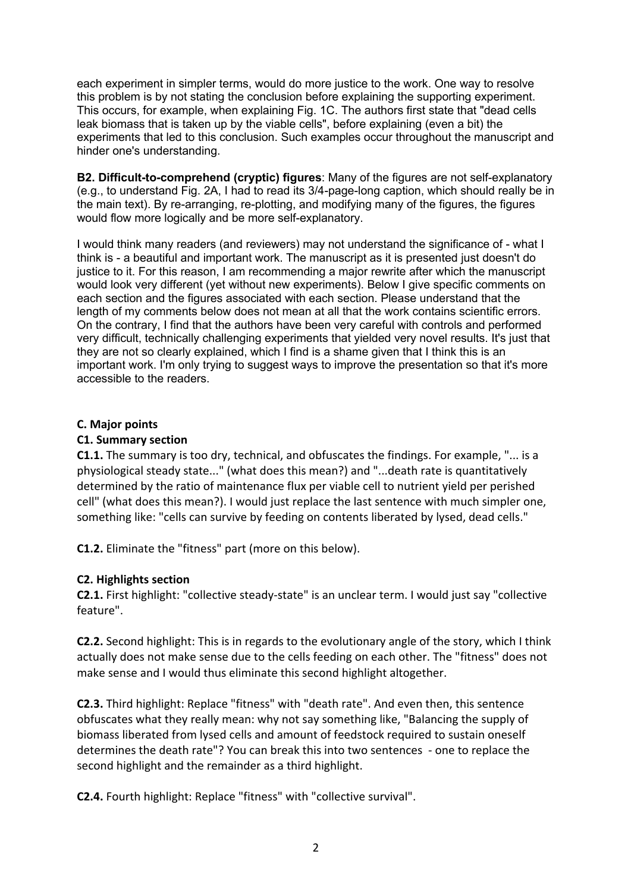each experiment in simpler terms, would do more justice to the work. One way to resolve this problem is by not stating the conclusion before explaining the supporting experiment. This occurs, for example, when explaining Fig. 1C. The authors first state that "dead cells leak biomass that is taken up by the viable cells", before explaining (even a bit) the experiments that led to this conclusion. Such examples occur throughout the manuscript and hinder one's understanding.

**B2. Difficult-to-comprehend (cryptic) figures**: Many of the figures are not self-explanatory (e.g., to understand Fig. 2A, I had to read its 3/4-page-long caption, which should really be in the main text). By re-arranging, re-plotting, and modifying many of the figures, the figures would flow more logically and be more self-explanatory.

I would think many readers (and reviewers) may not understand the significance of - what I think is - a beautiful and important work. The manuscript as it is presented just doesn't do justice to it. For this reason, I am recommending a major rewrite after which the manuscript would look very different (yet without new experiments). Below I give specific comments on each section and the figures associated with each section. Please understand that the length of my comments below does not mean at all that the work contains scientific errors. On the contrary, I find that the authors have been very careful with controls and performed very difficult, technically challenging experiments that yielded very novel results. It's just that they are not so clearly explained, which I find is a shame given that I think this is an important work. I'm only trying to suggest ways to improve the presentation so that it's more accessible to the readers.

#### **C. Major points**

#### **C1. Summary section**

**C1.1.** The summary is too dry, technical, and obfuscates the findings. For example, "... is a physiological steady state..." (what does this mean?) and "...death rate is quantitatively determined by the ratio of maintenance flux per viable cell to nutrient yield per perished cell" (what does this mean?). I would just replace the last sentence with much simpler one, something like: "cells can survive by feeding on contents liberated by lysed, dead cells."

**C1.2.** Eliminate the "fitness" part (more on this below).

### **C2. Highlights section**

**C2.1.** First highlight: "collective steady-state" is an unclear term. I would just say "collective feature".

**C2.2.** Second highlight: This is in regards to the evolutionary angle of the story, which I think actually does not make sense due to the cells feeding on each other. The "fitness" does not make sense and I would thus eliminate this second highlight altogether.

**C2.3.** Third highlight: Replace "fitness" with "death rate". And even then, this sentence obfuscates what they really mean: why not say something like, "Balancing the supply of biomass liberated from lysed cells and amount of feedstock required to sustain oneself determines the death rate"? You can break this into two sentences - one to replace the second highlight and the remainder as a third highlight.

**C2.4.** Fourth highlight: Replace "fitness" with "collective survival".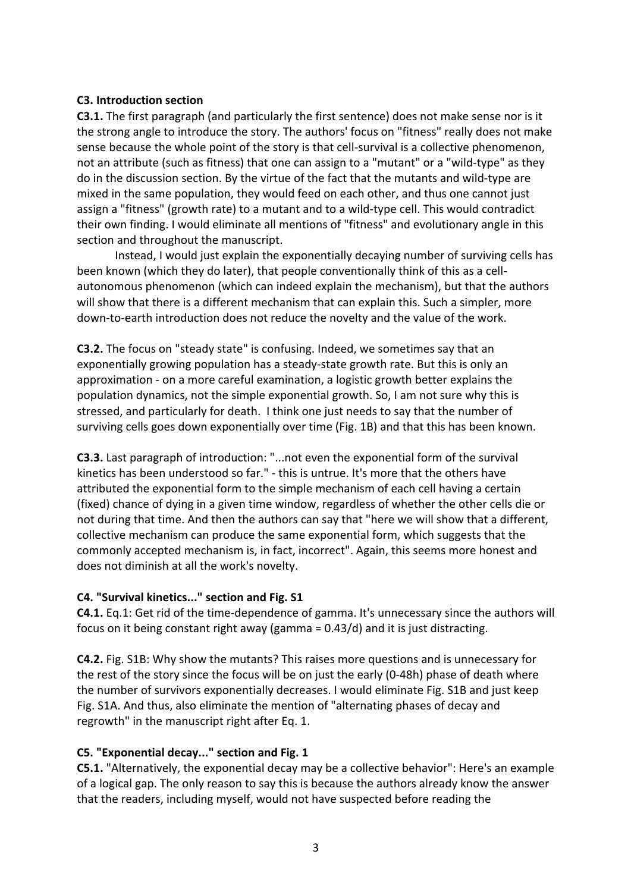#### **C3. Introduction section**

**C3.1.** The first paragraph (and particularly the first sentence) does not make sense nor is it the strong angle to introduce the story. The authors' focus on "fitness" really does not make sense because the whole point of the story is that cell-survival is a collective phenomenon, not an attribute (such as fitness) that one can assign to a "mutant" or a "wild-type" as they do in the discussion section. By the virtue of the fact that the mutants and wild-type are mixed in the same population, they would feed on each other, and thus one cannot just assign a "fitness" (growth rate) to a mutant and to a wild-type cell. This would contradict their own finding. I would eliminate all mentions of "fitness" and evolutionary angle in this section and throughout the manuscript.

Instead, I would just explain the exponentially decaying number of surviving cells has been known (which they do later), that people conventionally think of this as a cellautonomous phenomenon (which can indeed explain the mechanism), but that the authors will show that there is a different mechanism that can explain this. Such a simpler, more down-to-earth introduction does not reduce the novelty and the value of the work.

**C3.2.** The focus on "steady state" is confusing. Indeed, we sometimes say that an exponentially growing population has a steady-state growth rate. But this is only an approximation - on a more careful examination, a logistic growth better explains the population dynamics, not the simple exponential growth. So, I am not sure why this is stressed, and particularly for death. I think one just needs to say that the number of surviving cells goes down exponentially over time (Fig. 1B) and that this has been known.

**C3.3.** Last paragraph of introduction: "...not even the exponential form of the survival kinetics has been understood so far." - this is untrue. It's more that the others have attributed the exponential form to the simple mechanism of each cell having a certain (fixed) chance of dying in a given time window, regardless of whether the other cells die or not during that time. And then the authors can say that "here we will show that a different, collective mechanism can produce the same exponential form, which suggests that the commonly accepted mechanism is, in fact, incorrect". Again, this seems more honest and does not diminish at all the work's novelty.

### **C4. "Survival kinetics..." section and Fig. S1**

**C4.1.** Eq.1: Get rid of the time-dependence of gamma. It's unnecessary since the authors will focus on it being constant right away (gamma = 0.43/d) and it is just distracting.

**C4.2.** Fig. S1B: Why show the mutants? This raises more questions and is unnecessary for the rest of the story since the focus will be on just the early (0-48h) phase of death where the number of survivors exponentially decreases. I would eliminate Fig. S1B and just keep Fig. S1A. And thus, also eliminate the mention of "alternating phases of decay and regrowth" in the manuscript right after Eq. 1.

### **C5. "Exponential decay..." section and Fig. 1**

**C5.1.** "Alternatively, the exponential decay may be a collective behavior": Here's an example of a logical gap. The only reason to say this is because the authors already know the answer that the readers, including myself, would not have suspected before reading the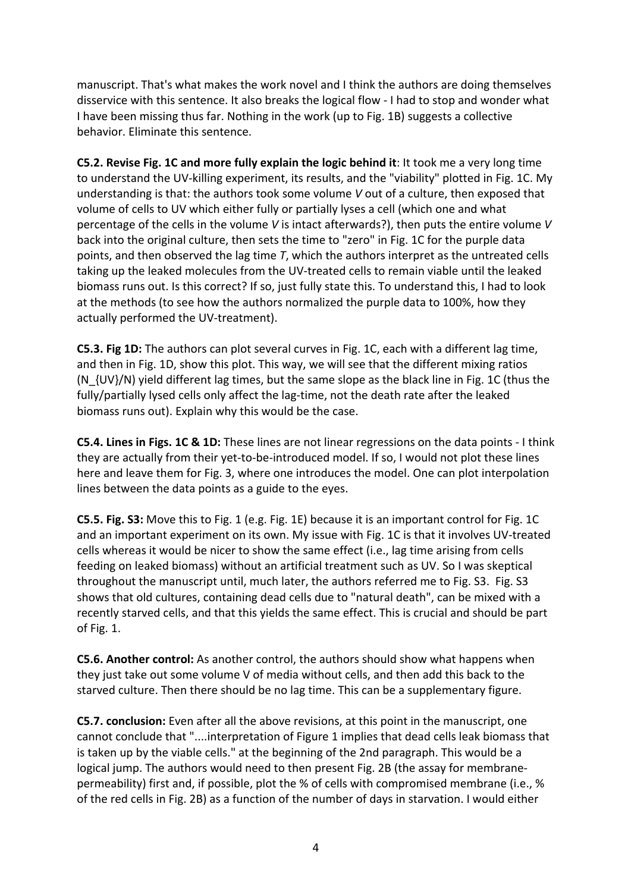manuscript. That's what makes the work novel and I think the authors are doing themselves disservice with this sentence. It also breaks the logical flow - I had to stop and wonder what I have been missing thus far. Nothing in the work (up to Fig. 1B) suggests a collective behavior. Eliminate this sentence.

**C5.2. Revise Fig. 1C and more fully explain the logic behind it**: It took me a very long time to understand the UV-killing experiment, its results, and the "viability" plotted in Fig. 1C. My understanding is that: the authors took some volume *V* out of a culture, then exposed that volume of cells to UV which either fully or partially lyses a cell (which one and what percentage of the cells in the volume *V* is intact afterwards?), then puts the entire volume *V*  back into the original culture, then sets the time to "zero" in Fig. 1C for the purple data points, and then observed the lag time *T*, which the authors interpret as the untreated cells taking up the leaked molecules from the UV-treated cells to remain viable until the leaked biomass runs out. Is this correct? If so, just fully state this. To understand this, I had to look at the methods (to see how the authors normalized the purple data to 100%, how they actually performed the UV-treatment).

**C5.3. Fig 1D:** The authors can plot several curves in Fig. 1C, each with a different lag time, and then in Fig. 1D, show this plot. This way, we will see that the different mixing ratios (N  $\{UV\}/N$ ) yield different lag times, but the same slope as the black line in Fig. 1C (thus the fully/partially lysed cells only affect the lag-time, not the death rate after the leaked biomass runs out). Explain why this would be the case.

**C5.4. Lines in Figs. 1C & 1D:** These lines are not linear regressions on the data points - I think they are actually from their yet-to-be-introduced model. If so, I would not plot these lines here and leave them for Fig. 3, where one introduces the model. One can plot interpolation lines between the data points as a guide to the eyes.

**C5.5. Fig. S3:** Move this to Fig. 1 (e.g. Fig. 1E) because it is an important control for Fig. 1C and an important experiment on its own. My issue with Fig. 1C is that it involves UV-treated cells whereas it would be nicer to show the same effect (i.e., lag time arising from cells feeding on leaked biomass) without an artificial treatment such as UV. So I was skeptical throughout the manuscript until, much later, the authors referred me to Fig. S3. Fig. S3 shows that old cultures, containing dead cells due to "natural death", can be mixed with a recently starved cells, and that this yields the same effect. This is crucial and should be part of Fig. 1.

**C5.6. Another control:** As another control, the authors should show what happens when they just take out some volume V of media without cells, and then add this back to the starved culture. Then there should be no lag time. This can be a supplementary figure.

**C5.7. conclusion:** Even after all the above revisions, at this point in the manuscript, one cannot conclude that "....interpretation of Figure 1 implies that dead cells leak biomass that is taken up by the viable cells." at the beginning of the 2nd paragraph. This would be a logical jump. The authors would need to then present Fig. 2B (the assay for membranepermeability) first and, if possible, plot the % of cells with compromised membrane (i.e., % of the red cells in Fig. 2B) as a function of the number of days in starvation. I would either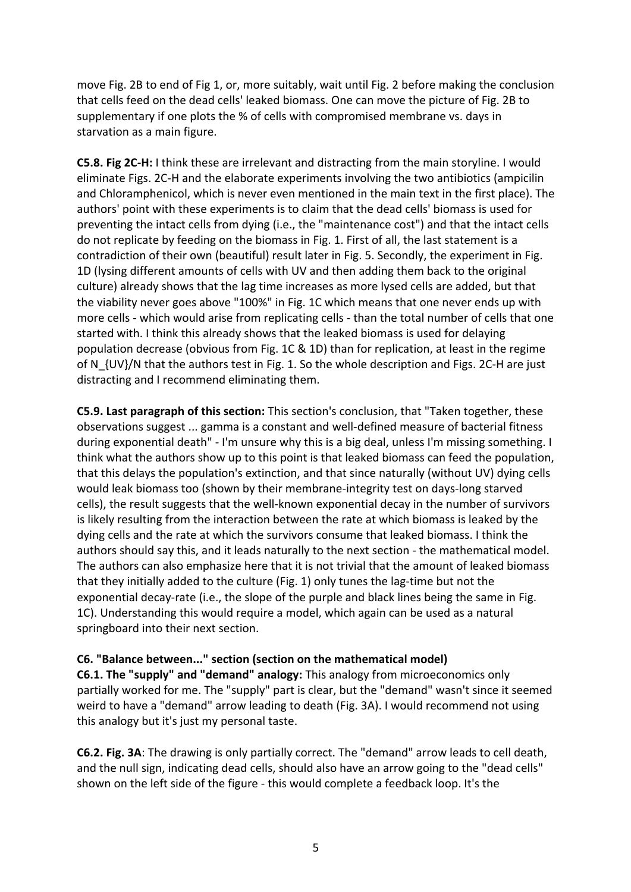move Fig. 2B to end of Fig 1, or, more suitably, wait until Fig. 2 before making the conclusion that cells feed on the dead cells' leaked biomass. One can move the picture of Fig. 2B to supplementary if one plots the % of cells with compromised membrane vs. days in starvation as a main figure.

**C5.8. Fig 2C-H:** I think these are irrelevant and distracting from the main storyline. I would eliminate Figs. 2C-H and the elaborate experiments involving the two antibiotics (ampicilin and Chloramphenicol, which is never even mentioned in the main text in the first place). The authors' point with these experiments is to claim that the dead cells' biomass is used for preventing the intact cells from dying (i.e., the "maintenance cost") and that the intact cells do not replicate by feeding on the biomass in Fig. 1. First of all, the last statement is a contradiction of their own (beautiful) result later in Fig. 5. Secondly, the experiment in Fig. 1D (lysing different amounts of cells with UV and then adding them back to the original culture) already shows that the lag time increases as more lysed cells are added, but that the viability never goes above "100%" in Fig. 1C which means that one never ends up with more cells - which would arise from replicating cells - than the total number of cells that one started with. I think this already shows that the leaked biomass is used for delaying population decrease (obvious from Fig. 1C & 1D) than for replication, at least in the regime of N {UV}/N that the authors test in Fig. 1. So the whole description and Figs. 2C-H are just distracting and I recommend eliminating them.

**C5.9. Last paragraph of this section:** This section's conclusion, that "Taken together, these observations suggest ... gamma is a constant and well-defined measure of bacterial fitness during exponential death" - I'm unsure why this is a big deal, unless I'm missing something. I think what the authors show up to this point is that leaked biomass can feed the population, that this delays the population's extinction, and that since naturally (without UV) dying cells would leak biomass too (shown by their membrane-integrity test on days-long starved cells), the result suggests that the well-known exponential decay in the number of survivors is likely resulting from the interaction between the rate at which biomass is leaked by the dying cells and the rate at which the survivors consume that leaked biomass. I think the authors should say this, and it leads naturally to the next section - the mathematical model. The authors can also emphasize here that it is not trivial that the amount of leaked biomass that they initially added to the culture (Fig. 1) only tunes the lag-time but not the exponential decay-rate (i.e., the slope of the purple and black lines being the same in Fig. 1C). Understanding this would require a model, which again can be used as a natural springboard into their next section.

### **C6. "Balance between..." section (section on the mathematical model)**

**C6.1. The "supply" and "demand" analogy:** This analogy from microeconomics only partially worked for me. The "supply" part is clear, but the "demand" wasn't since it seemed weird to have a "demand" arrow leading to death (Fig. 3A). I would recommend not using this analogy but it's just my personal taste.

**C6.2. Fig. 3A**: The drawing is only partially correct. The "demand" arrow leads to cell death, and the null sign, indicating dead cells, should also have an arrow going to the "dead cells" shown on the left side of the figure - this would complete a feedback loop. It's the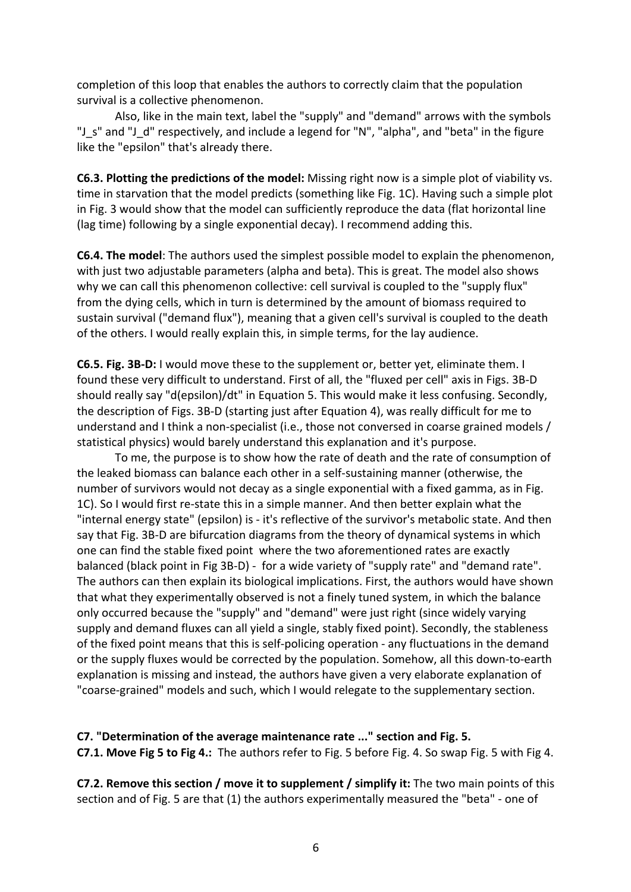completion of this loop that enables the authors to correctly claim that the population survival is a collective phenomenon.

Also, like in the main text, label the "supply" and "demand" arrows with the symbols "J\_s" and "J\_d" respectively, and include a legend for "N", "alpha", and "beta" in the figure like the "epsilon" that's already there.

**C6.3. Plotting the predictions of the model:** Missing right now is a simple plot of viability vs. time in starvation that the model predicts (something like Fig. 1C). Having such a simple plot in Fig. 3 would show that the model can sufficiently reproduce the data (flat horizontal line (lag time) following by a single exponential decay). I recommend adding this.

**C6.4. The model**: The authors used the simplest possible model to explain the phenomenon, with just two adjustable parameters (alpha and beta). This is great. The model also shows why we can call this phenomenon collective: cell survival is coupled to the "supply flux" from the dying cells, which in turn is determined by the amount of biomass required to sustain survival ("demand flux"), meaning that a given cell's survival is coupled to the death of the others. I would really explain this, in simple terms, for the lay audience.

**C6.5. Fig. 3B-D:** I would move these to the supplement or, better yet, eliminate them. I found these very difficult to understand. First of all, the "fluxed per cell" axis in Figs. 3B-D should really say "d(epsilon)/dt" in Equation 5. This would make it less confusing. Secondly, the description of Figs. 3B-D (starting just after Equation 4), was really difficult for me to understand and I think a non-specialist (i.e., those not conversed in coarse grained models / statistical physics) would barely understand this explanation and it's purpose.

To me, the purpose is to show how the rate of death and the rate of consumption of the leaked biomass can balance each other in a self-sustaining manner (otherwise, the number of survivors would not decay as a single exponential with a fixed gamma, as in Fig. 1C). So I would first re-state this in a simple manner. And then better explain what the "internal energy state" (epsilon) is - it's reflective of the survivor's metabolic state. And then say that Fig. 3B-D are bifurcation diagrams from the theory of dynamical systems in which one can find the stable fixed point where the two aforementioned rates are exactly balanced (black point in Fig 3B-D) - for a wide variety of "supply rate" and "demand rate". The authors can then explain its biological implications. First, the authors would have shown that what they experimentally observed is not a finely tuned system, in which the balance only occurred because the "supply" and "demand" were just right (since widely varying supply and demand fluxes can all yield a single, stably fixed point). Secondly, the stableness of the fixed point means that this is self-policing operation - any fluctuations in the demand or the supply fluxes would be corrected by the population. Somehow, all this down-to-earth explanation is missing and instead, the authors have given a very elaborate explanation of "coarse-grained" models and such, which I would relegate to the supplementary section.

**C7. "Determination of the average maintenance rate ..." section and Fig. 5. C7.1. Move Fig 5 to Fig 4.:** The authors refer to Fig. 5 before Fig. 4. So swap Fig. 5 with Fig 4.

**C7.2. Remove this section / move it to supplement / simplify it:** The two main points of this section and of Fig. 5 are that (1) the authors experimentally measured the "beta" - one of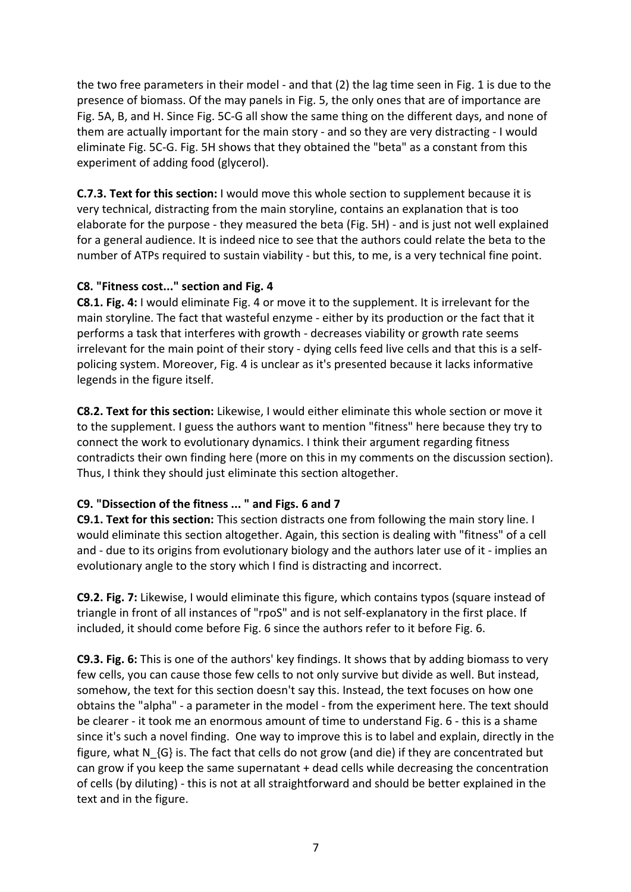the two free parameters in their model - and that (2) the lag time seen in Fig. 1 is due to the presence of biomass. Of the may panels in Fig. 5, the only ones that are of importance are Fig. 5A, B, and H. Since Fig. 5C-G all show the same thing on the different days, and none of them are actually important for the main story - and so they are very distracting - I would eliminate Fig. 5C-G. Fig. 5H shows that they obtained the "beta" as a constant from this experiment of adding food (glycerol).

**C.7.3. Text for this section:** I would move this whole section to supplement because it is very technical, distracting from the main storyline, contains an explanation that is too elaborate for the purpose - they measured the beta (Fig. 5H) - and is just not well explained for a general audience. It is indeed nice to see that the authors could relate the beta to the number of ATPs required to sustain viability - but this, to me, is a very technical fine point.

## **C8. "Fitness cost..." section and Fig. 4**

**C8.1. Fig. 4:** I would eliminate Fig. 4 or move it to the supplement. It is irrelevant for the main storyline. The fact that wasteful enzyme - either by its production or the fact that it performs a task that interferes with growth - decreases viability or growth rate seems irrelevant for the main point of their story - dying cells feed live cells and that this is a selfpolicing system. Moreover, Fig. 4 is unclear as it's presented because it lacks informative legends in the figure itself.

**C8.2. Text for this section:** Likewise, I would either eliminate this whole section or move it to the supplement. I guess the authors want to mention "fitness" here because they try to connect the work to evolutionary dynamics. I think their argument regarding fitness contradicts their own finding here (more on this in my comments on the discussion section). Thus, I think they should just eliminate this section altogether.

## **C9. "Dissection of the fitness ... " and Figs. 6 and 7**

**C9.1. Text for this section:** This section distracts one from following the main story line. I would eliminate this section altogether. Again, this section is dealing with "fitness" of a cell and - due to its origins from evolutionary biology and the authors later use of it - implies an evolutionary angle to the story which I find is distracting and incorrect.

**C9.2. Fig. 7:** Likewise, I would eliminate this figure, which contains typos (square instead of triangle in front of all instances of "rpoS" and is not self-explanatory in the first place. If included, it should come before Fig. 6 since the authors refer to it before Fig. 6.

**C9.3. Fig. 6:** This is one of the authors' key findings. It shows that by adding biomass to very few cells, you can cause those few cells to not only survive but divide as well. But instead, somehow, the text for this section doesn't say this. Instead, the text focuses on how one obtains the "alpha" - a parameter in the model - from the experiment here. The text should be clearer - it took me an enormous amount of time to understand Fig. 6 - this is a shame since it's such a novel finding. One way to improve this is to label and explain, directly in the figure, what N  ${G}$  is. The fact that cells do not grow (and die) if they are concentrated but can grow if you keep the same supernatant + dead cells while decreasing the concentration of cells (by diluting) - this is not at all straightforward and should be better explained in the text and in the figure.